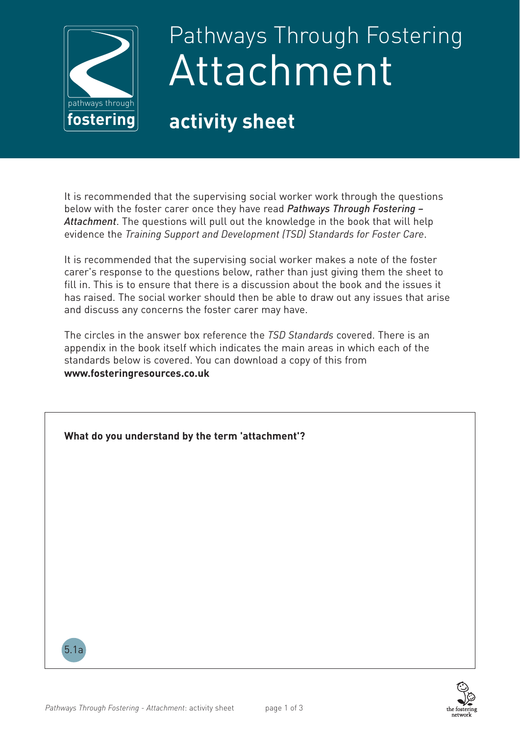

## Pathways Through Fostering Attachment

## **activity sheet**

It is recommended that the supervising social worker work through the questions below with the foster carer once they have read *Pathways Through Fostering – Attachment*. The questions will pull out the knowledge in the book that will help evidence the *Training Support and Development (TSD) Standards for Foster Care*.

It is recommended that the supervising social worker makes a note of the foster carer's response to the questions below, rather than just giving them the sheet to fill in. This is to ensure that there is a discussion about the book and the issues it has raised. The social worker should then be able to draw out any issues that arise and discuss any concerns the foster carer may have.

The circles in the answer box reference the *TSD Standards* covered. There is an appendix in the book itself which indicates the main areas in which each of the standards below is covered. You can download a copy of this from **www.fosteringresources.co.uk** 

| What do you understand by the term 'attachment'? |  |
|--------------------------------------------------|--|
|                                                  |  |
|                                                  |  |
|                                                  |  |
|                                                  |  |
| 5.1a                                             |  |

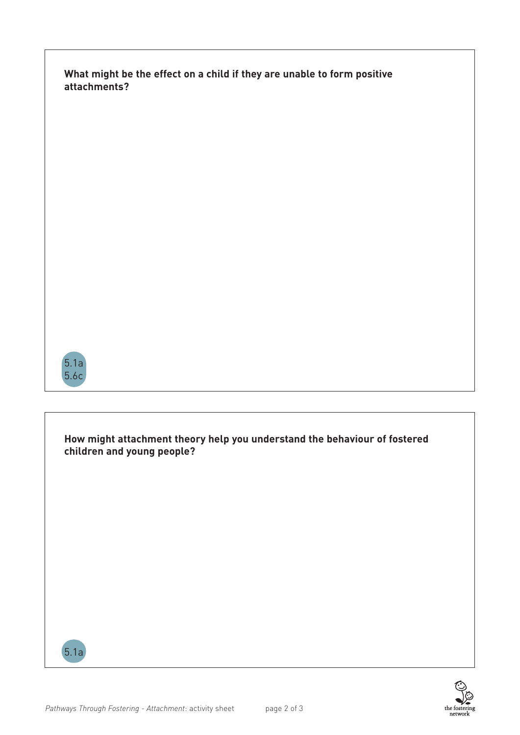